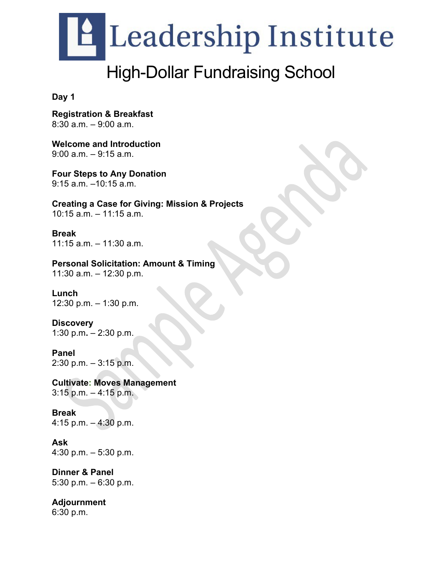

## High-Dollar Fundraising School

**Day 1**

**Registration & Breakfast**   $8:30$  a.m.  $-9:00$  a.m.

**Welcome and Introduction** 9:00 a.m. – 9:15 a.m.

**Four Steps to Any Donation** 9:15 a.m. –10:15 a.m.

**Creating a Case for Giving: Mission & Projects** 10:15 a.m. – 11:15 a.m.

**Break**  $11:15$  a.m.  $-11:30$  a.m.

**Personal Solicitation: Amount & Timing**

11:30 a.m. – 12:30 p.m.   

**Lunch** 12:30 p.m. – 1:30 p.m.

**Discovery** 1:30 p.m**.** – 2:30 p.m.

**Panel** 2:30 p.m. – 3:15 p.m.

**Cultivate: Moves Management** 3:15 p.m. – 4:15 p.m.

**Break** 4:15 p.m. – 4:30 p.m.

**Ask** 4:30 p.m. – 5:30 p.m.

**Dinner & Panel**  5:30 p.m. – 6:30 p.m.

**Adjournment**  6:30 p.m.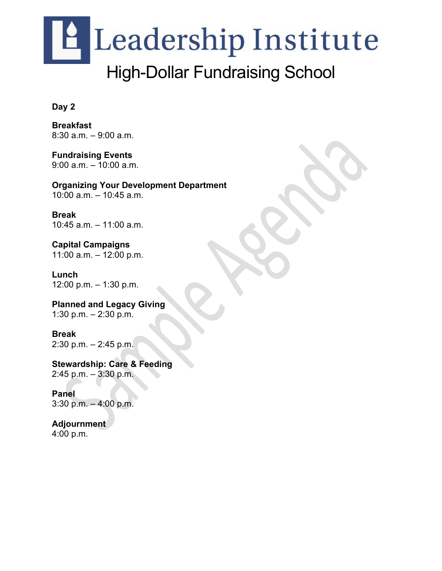## **A** Leadership Institute High-Dollar Fundraising School

#### **Day 2**

**Breakfast**  8:30 a.m. – 9:00 a.m.

**Fundraising Events** 9:00 a.m. – 10:00 a.m.

**Organizing Your Development Department** 10:00 a.m. – 10:45 a.m.

**Break** 10:45 a.m. – 11:00 a.m.

**Capital Campaigns** 11:00 a.m. – 12:00 p.m.

**Lunch** 12:00 p.m. – 1:30 p.m.

**Planned and Legacy Giving** 1:30 p.m. – 2:30 p.m.

**Break**  2:30 p.m. – 2:45 p.m.

**Stewardship: Care & Feeding** 2:45 p.m. – 3:30 p.m.

**Panel** 3:30 p.m. – 4:00 p.m.

**Adjournment**  4:00 p.m.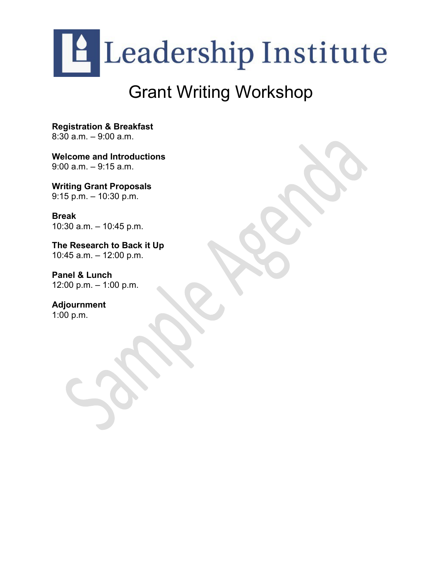

## Grant Writing Workshop

**Registration & Breakfast**  8:30 a.m. – 9:00 a.m.

**Welcome and Introductions** 9:00 a.m. – 9:15 a.m.

**Writing Grant Proposals** 9:15 p.m. – 10:30 p.m.

**Break** 10:30 a.m. – 10:45 p.m.

**The Research to Back it Up** 10:45 a.m. – 12:00 p.m.

**Panel & Lunch**  12:00 p.m. – 1:00 p.m.

**Adjournment**  1:00 p.m.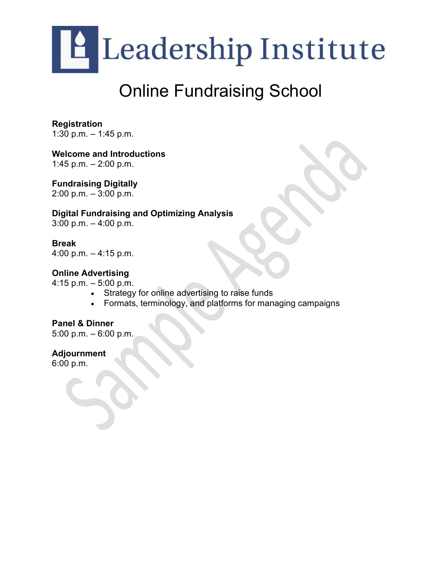

## Online Fundraising School

**Registration**  1:30 p.m. – 1:45 p.m.

**Welcome and Introductions**

1:45 p.m.  $-2:00$  p.m.

**Fundraising Digitally**

2:00 p.m. – 3:00 p.m.

#### **Digital Fundraising and Optimizing Analysis**

 $3:00$  p.m.  $-4:00$  p.m.

**Break** 4:00 p.m. – 4:15 p.m.

#### **Online Advertising**

4:15 p.m. – 5:00 p.m.

- Strategy for online advertising to raise funds
- Formats, terminology, and platforms for managing campaigns

#### **Panel & Dinner**

5:00 p.m. – 6:00 p.m.

**Adjournment**  6:00 p.m.